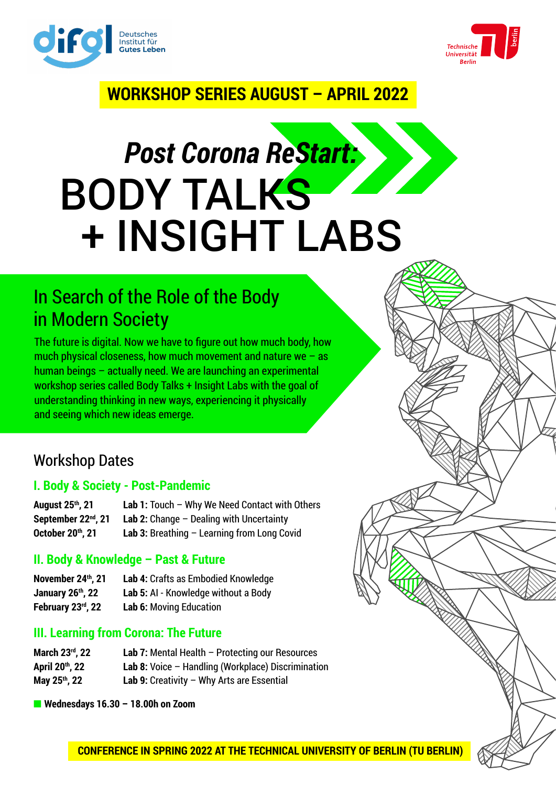



**RADIO DE LA CALCADA DE LA CALCADA DE LA CALCADA DE LA CALCADA DE LA CALCADA DE LA CALCADA DE LA CALCADA DE LA**<br>DEL CALCADA DE LA CALCADA DE LA CALCADA DE LA CALCADA DE LA CALCADA DE LA CALCADA DE LA CALCADA DE LA CALCADA

# **WORKSHOP SERIES AUGUST – APRIL 2022**

# *Post Corona ReStart:*  BODY TALKS + INSIGHT LABS

# In Search of the Role of the Body in Modern Society

The future is digital. Now we have to figure out how much body, how much physical closeness, how much movement and nature we  $-$  as human beings – actually need. We are launching an experimental workshop series called Body Talks + Insight Labs with the goal of understanding thinking in new ways, experiencing it physically and seeing which new ideas emerge.

## Workshop Dates

## **I. Body & Society - Post-Pandemic**

**August 25th, 21 Lab 1:** Touch – Why We Need Contact with Others **September 22nd, 21 Lab 2:** Change – Dealing with Uncertainty **October 20<sup>th</sup>, 21 Lab 3:** Breathing – Learning from Long Covid

## **II. Body & Knowledge – Past & Future**

| November 24th, 21             | Lab 4: Crafts as Embodied Knowledge  |
|-------------------------------|--------------------------------------|
| January 26 <sup>th</sup> , 22 | Lab 5: AI - Knowledge without a Body |
| February 23rd, 22             | <b>Lab 6: Moving Education</b>       |

## **III. Learning from Corona: The Future**

| March 23rd, 22 | <b>Lab 7:</b> Mental Health $-$ Protecting our Resources |
|----------------|----------------------------------------------------------|
| April 20th, 22 | Lab 8: Voice $-$ Handling (Workplace) Discrimination     |
| May 25th, 22   | Lab 9: Creativity $-$ Why Arts are Essential             |

■ Wednesdays 16.30 **- 18.00h on Zoom**